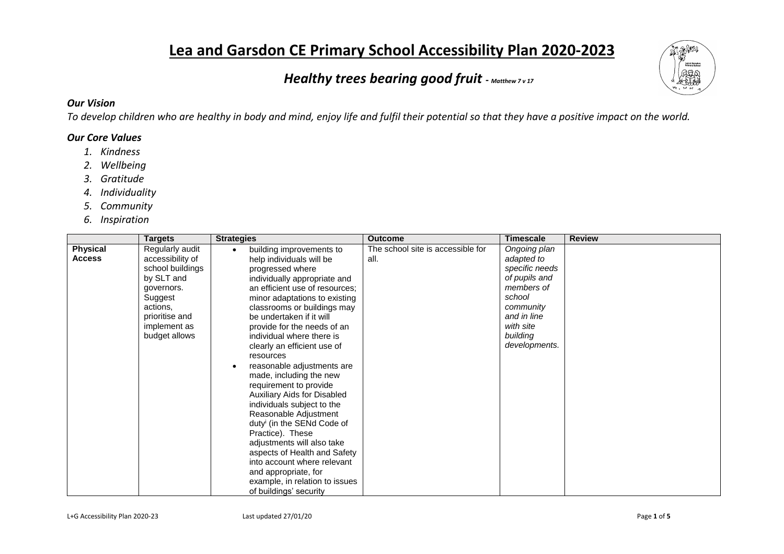# **Lea and Garsdon CE Primary School Accessibility Plan 2020-2023**

# *Healthy trees bearing good fruit* **-** *Matthew 7 v 17*



## *Our Vision*

*To develop children who are healthy in body and mind, enjoy life and fulfil their potential so that they have a positive impact on the world.*

### *Our Core Values*

- *1. Kindness*
- *2. Wellbeing*
- *3. Gratitude*
- *4. Individuality*
- *5. Community*
- *6. Inspiration*

| <b>Targets</b>                                                                                                                                                                                    | <b>Strategies</b>                                                                                                                                                                                                                                                                                                                                                                                                                                                                                                                                                                                                                                                                                                                                                             | <b>Outcome</b>                            | <b>Timescale</b>                                                                                                                                            | <b>Review</b> |
|---------------------------------------------------------------------------------------------------------------------------------------------------------------------------------------------------|-------------------------------------------------------------------------------------------------------------------------------------------------------------------------------------------------------------------------------------------------------------------------------------------------------------------------------------------------------------------------------------------------------------------------------------------------------------------------------------------------------------------------------------------------------------------------------------------------------------------------------------------------------------------------------------------------------------------------------------------------------------------------------|-------------------------------------------|-------------------------------------------------------------------------------------------------------------------------------------------------------------|---------------|
| <b>Physical</b><br>Regularly audit<br>accessibility of<br><b>Access</b><br>school buildings<br>by SLT and<br>governors.<br>Suggest<br>actions,<br>prioritise and<br>implement as<br>budget allows | building improvements to<br>help individuals will be<br>progressed where<br>individually appropriate and<br>an efficient use of resources;<br>minor adaptations to existing<br>classrooms or buildings may<br>be undertaken if it will<br>provide for the needs of an<br>individual where there is<br>clearly an efficient use of<br>resources<br>reasonable adjustments are<br>made, including the new<br>requirement to provide<br><b>Auxiliary Aids for Disabled</b><br>individuals subject to the<br>Reasonable Adjustment<br>duty <sup>i</sup> (in the SENd Code of<br>Practice). These<br>adjustments will also take<br>aspects of Health and Safety<br>into account where relevant<br>and appropriate, for<br>example, in relation to issues<br>of buildings' security | The school site is accessible for<br>all. | Ongoing plan<br>adapted to<br>specific needs<br>of pupils and<br>members of<br>school<br>community<br>and in line<br>with site<br>building<br>developments. |               |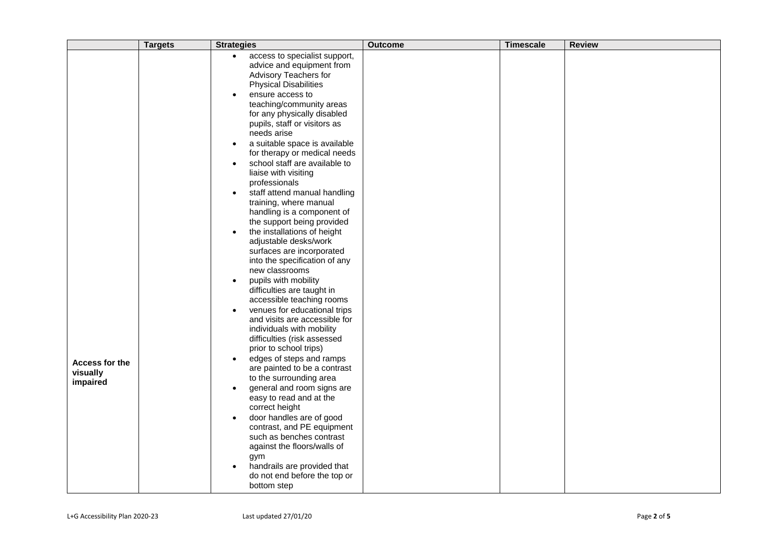|                                        | <b>Targets</b> | <b>Strategies</b>                                                                                                                                                                                                                                                                                                                                                                                                                                                                                                                                                                                                                                                                                                                                                                                                                                                                                                                                                                                                                                                                           | <b>Outcome</b> | <b>Timescale</b> | <b>Review</b> |
|----------------------------------------|----------------|---------------------------------------------------------------------------------------------------------------------------------------------------------------------------------------------------------------------------------------------------------------------------------------------------------------------------------------------------------------------------------------------------------------------------------------------------------------------------------------------------------------------------------------------------------------------------------------------------------------------------------------------------------------------------------------------------------------------------------------------------------------------------------------------------------------------------------------------------------------------------------------------------------------------------------------------------------------------------------------------------------------------------------------------------------------------------------------------|----------------|------------------|---------------|
| Access for the<br>visually<br>impaired |                | access to specialist support,<br>$\bullet$<br>advice and equipment from<br>Advisory Teachers for<br><b>Physical Disabilities</b><br>ensure access to<br>teaching/community areas<br>for any physically disabled<br>pupils, staff or visitors as<br>needs arise<br>a suitable space is available<br>$\bullet$<br>for therapy or medical needs<br>school staff are available to<br>$\bullet$<br>liaise with visiting<br>professionals<br>staff attend manual handling<br>training, where manual<br>handling is a component of<br>the support being provided<br>the installations of height<br>adjustable desks/work<br>surfaces are incorporated<br>into the specification of any<br>new classrooms<br>pupils with mobility<br>difficulties are taught in<br>accessible teaching rooms<br>venues for educational trips<br>and visits are accessible for<br>individuals with mobility<br>difficulties (risk assessed<br>prior to school trips)<br>edges of steps and ramps<br>are painted to be a contrast<br>to the surrounding area<br>general and room signs are<br>easy to read and at the |                |                  |               |
|                                        |                | correct height<br>door handles are of good<br>$\bullet$<br>contrast, and PE equipment<br>such as benches contrast<br>against the floors/walls of<br>gym<br>handrails are provided that<br>do not end before the top or<br>bottom step                                                                                                                                                                                                                                                                                                                                                                                                                                                                                                                                                                                                                                                                                                                                                                                                                                                       |                |                  |               |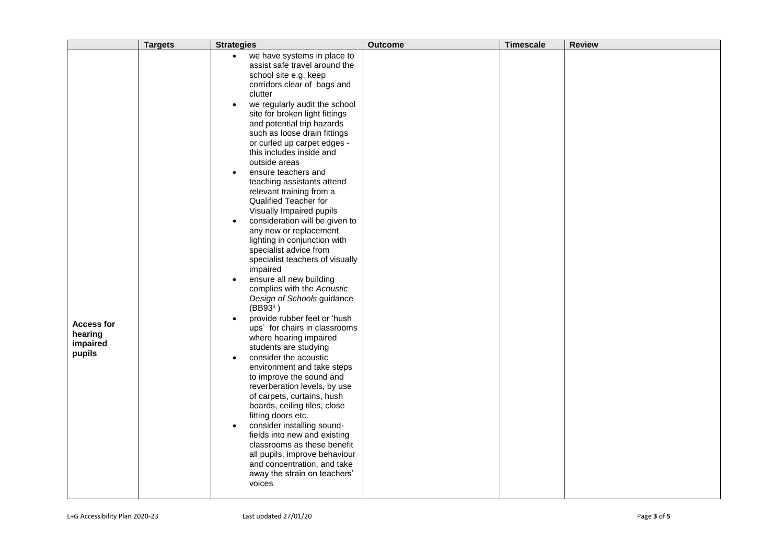|                                                    | <b>Targets</b> | <b>Strategies</b>                                                                                                                                                                                                                                                                                                                                                                                                                                                                                                                                                                                                                                                                                                                                                                                                                                                                                                                                                                                                                                                                                                                                                                                                                                                                                                                                                          | <b>Outcome</b> | <b>Timescale</b> | <b>Review</b> |
|----------------------------------------------------|----------------|----------------------------------------------------------------------------------------------------------------------------------------------------------------------------------------------------------------------------------------------------------------------------------------------------------------------------------------------------------------------------------------------------------------------------------------------------------------------------------------------------------------------------------------------------------------------------------------------------------------------------------------------------------------------------------------------------------------------------------------------------------------------------------------------------------------------------------------------------------------------------------------------------------------------------------------------------------------------------------------------------------------------------------------------------------------------------------------------------------------------------------------------------------------------------------------------------------------------------------------------------------------------------------------------------------------------------------------------------------------------------|----------------|------------------|---------------|
| <b>Access for</b><br>hearing<br>impaired<br>pupils |                | we have systems in place to<br>$\bullet$<br>assist safe travel around the<br>school site e.g. keep<br>corridors clear of bags and<br>clutter<br>we regularly audit the school<br>$\bullet$<br>site for broken light fittings<br>and potential trip hazards<br>such as loose drain fittings<br>or curled up carpet edges -<br>this includes inside and<br>outside areas<br>ensure teachers and<br>teaching assistants attend<br>relevant training from a<br>Qualified Teacher for<br>Visually Impaired pupils<br>consideration will be given to<br>any new or replacement<br>lighting in conjunction with<br>specialist advice from<br>specialist teachers of visually<br>impaired<br>ensure all new building<br>$\bullet$<br>complies with the Acoustic<br>Design of Schools guidance<br>(BB93 <sup>ii</sup> )<br>provide rubber feet or 'hush<br>ups' for chairs in classrooms<br>where hearing impaired<br>students are studying<br>consider the acoustic<br>$\bullet$<br>environment and take steps<br>to improve the sound and<br>reverberation levels, by use<br>of carpets, curtains, hush<br>boards, ceiling tiles, close<br>fitting doors etc.<br>consider installing sound-<br>$\bullet$<br>fields into new and existing<br>classrooms as these benefit<br>all pupils, improve behaviour<br>and concentration, and take<br>away the strain on teachers'<br>voices |                |                  |               |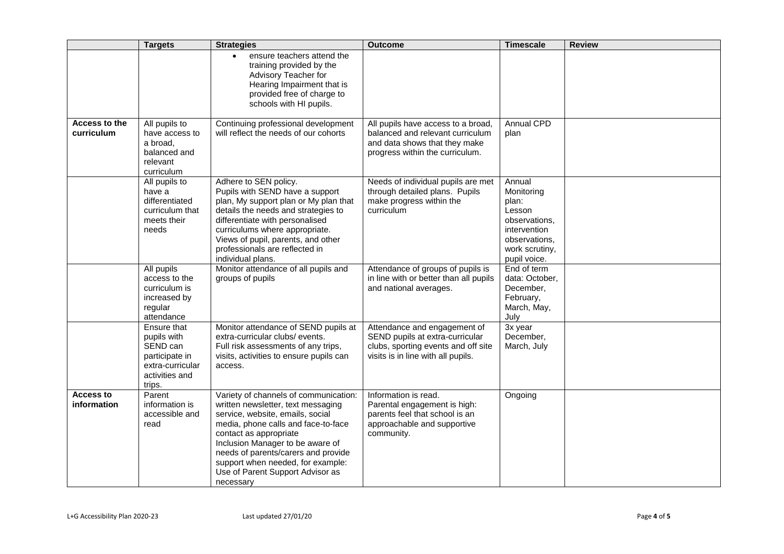|                                 | <b>Targets</b>                                                                                           | <b>Strategies</b>                                                                                                                                                                                                                                                                                                                                 | <b>Outcome</b>                                                                                                                               | <b>Timescale</b>                                                                                                            | <b>Review</b> |
|---------------------------------|----------------------------------------------------------------------------------------------------------|---------------------------------------------------------------------------------------------------------------------------------------------------------------------------------------------------------------------------------------------------------------------------------------------------------------------------------------------------|----------------------------------------------------------------------------------------------------------------------------------------------|-----------------------------------------------------------------------------------------------------------------------------|---------------|
|                                 |                                                                                                          | ensure teachers attend the<br>training provided by the<br>Advisory Teacher for<br>Hearing Impairment that is<br>provided free of charge to<br>schools with HI pupils.                                                                                                                                                                             |                                                                                                                                              |                                                                                                                             |               |
| Access to the<br>curriculum     | All pupils to<br>have access to<br>a broad,<br>balanced and<br>relevant<br>curriculum                    | Continuing professional development<br>will reflect the needs of our cohorts                                                                                                                                                                                                                                                                      | All pupils have access to a broad,<br>balanced and relevant curriculum<br>and data shows that they make<br>progress within the curriculum.   | <b>Annual CPD</b><br>plan                                                                                                   |               |
|                                 | All pupils to<br>have a<br>differentiated<br>curriculum that<br>meets their<br>needs                     | Adhere to SEN policy.<br>Pupils with SEND have a support<br>plan, My support plan or My plan that<br>details the needs and strategies to<br>differentiate with personalised<br>curriculums where appropriate.<br>Views of pupil, parents, and other<br>professionals are reflected in<br>individual plans.                                        | Needs of individual pupils are met<br>through detailed plans. Pupils<br>make progress within the<br>curriculum                               | Annual<br>Monitoring<br>plan:<br>Lesson<br>observations,<br>intervention<br>observations.<br>work scrutiny,<br>pupil voice. |               |
|                                 | All pupils<br>access to the<br>curriculum is<br>increased by<br>regular<br>attendance                    | Monitor attendance of all pupils and<br>groups of pupils                                                                                                                                                                                                                                                                                          | Attendance of groups of pupils is<br>in line with or better than all pupils<br>and national averages.                                        | End of term<br>data: October,<br>December,<br>February,<br>March, May,<br>July                                              |               |
|                                 | Ensure that<br>pupils with<br>SEND can<br>participate in<br>extra-curricular<br>activities and<br>trips. | Monitor attendance of SEND pupils at<br>extra-curricular clubs/events.<br>Full risk assessments of any trips,<br>visits, activities to ensure pupils can<br>access.                                                                                                                                                                               | Attendance and engagement of<br>SEND pupils at extra-curricular<br>clubs, sporting events and off site<br>visits is in line with all pupils. | 3x year<br>December,<br>March, July                                                                                         |               |
| <b>Access to</b><br>information | Parent<br>information is<br>accessible and<br>read                                                       | Variety of channels of communication:<br>written newsletter, text messaging<br>service, website, emails, social<br>media, phone calls and face-to-face<br>contact as appropriate<br>Inclusion Manager to be aware of<br>needs of parents/carers and provide<br>support when needed, for example:<br>Use of Parent Support Advisor as<br>necessary | Information is read.<br>Parental engagement is high:<br>parents feel that school is an<br>approachable and supportive<br>community.          | Ongoing                                                                                                                     |               |